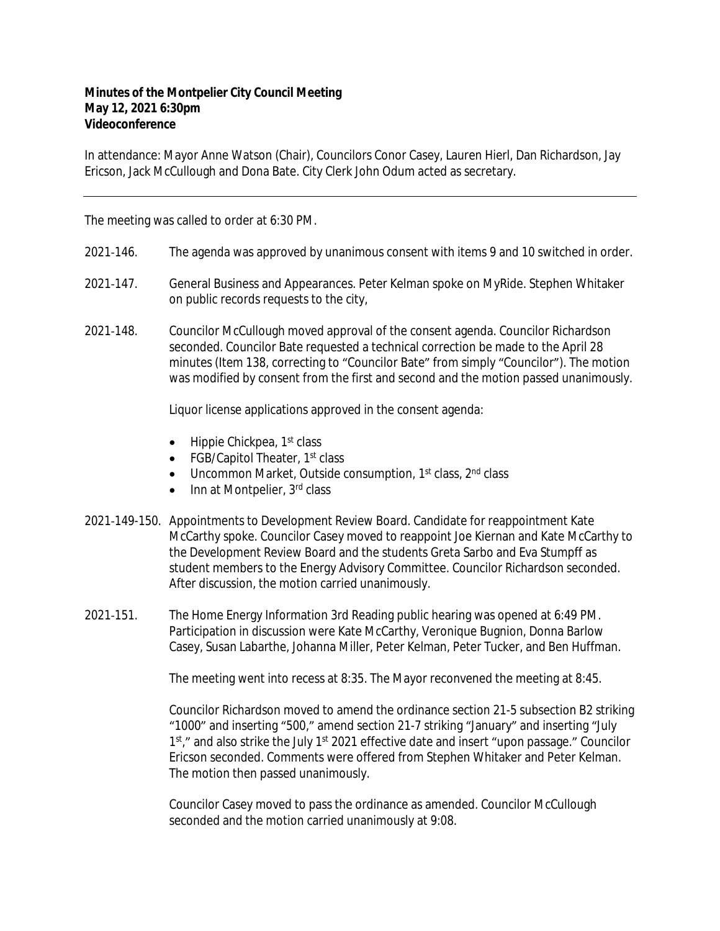## **Minutes of the Montpelier City Council Meeting May 12, 2021 6:30pm Videoconference**

In attendance: Mayor Anne Watson (Chair), Councilors Conor Casey, Lauren Hierl, Dan Richardson, Jay Ericson, Jack McCullough and Dona Bate. City Clerk John Odum acted as secretary.

The meeting was called to order at 6:30 PM.

- 2021-146. The agenda was approved by unanimous consent with items 9 and 10 switched in order.
- 2021-147. General Business and Appearances. Peter Kelman spoke on MyRide. Stephen Whitaker on public records requests to the city,
- 2021‐148. Councilor McCullough moved approval of the consent agenda. Councilor Richardson seconded. Councilor Bate requested a technical correction be made to the April 28 minutes (Item 138, correcting to "Councilor Bate" from simply "Councilor"). The motion was modified by consent from the first and second and the motion passed unanimously.

Liquor license applications approved in the consent agenda:

- $\bullet$  Hippie Chickpea, 1<sup>st</sup> class
- FGB/Capitol Theater,  $1<sup>st</sup>$  class
- Uncommon Market, Outside consumption, 1<sup>st</sup> class, 2<sup>nd</sup> class
- $\bullet$  Inn at Montpelier,  $3<sup>rd</sup>$  class
- 2021‐149-150. Appointments to Development Review Board. Candidate for reappointment Kate McCarthy spoke. Councilor Casey moved to reappoint Joe Kiernan and Kate McCarthy to the Development Review Board and the students Greta Sarbo and Eva Stumpff as student members to the Energy Advisory Committee. Councilor Richardson seconded. After discussion, the motion carried unanimously.
- 2021‐151. The Home Energy Information 3rd Reading public hearing was opened at 6:49 PM. Participation in discussion were Kate McCarthy, Veronique Bugnion, Donna Barlow Casey, Susan Labarthe, Johanna Miller, Peter Kelman, Peter Tucker, and Ben Huffman.

The meeting went into recess at 8:35. The Mayor reconvened the meeting at 8:45.

Councilor Richardson moved to amend the ordinance section 21-5 subsection B2 striking "1000" and inserting "500," amend section 21-7 striking "January" and inserting "July 1<sup>st</sup>," and also strike the July 1<sup>st</sup> 2021 effective date and insert "upon passage." Councilor Ericson seconded. Comments were offered from Stephen Whitaker and Peter Kelman. The motion then passed unanimously.

Councilor Casey moved to pass the ordinance as amended. Councilor McCullough seconded and the motion carried unanimously at 9:08.